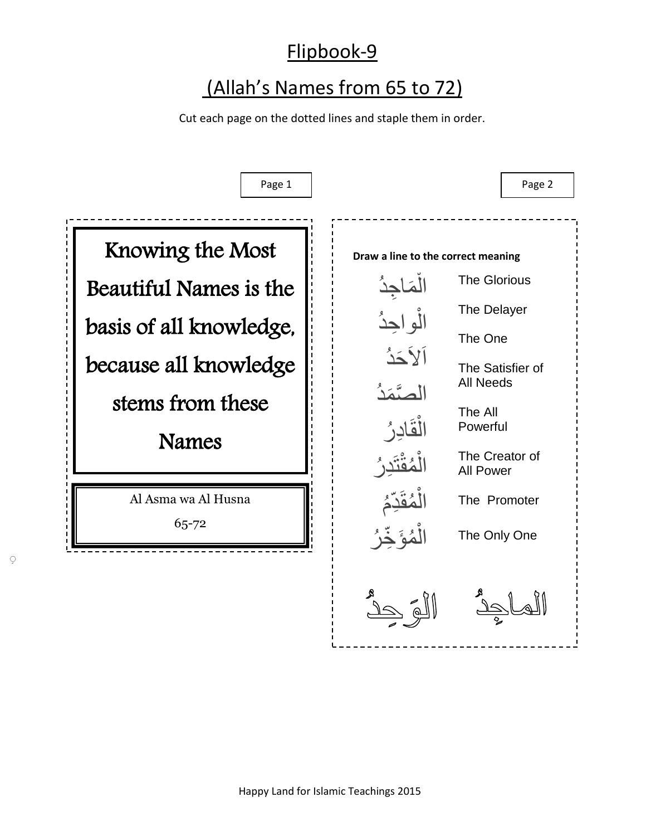## Flipbook-9

## (Allah's Names from 65 to 72)

Cut each page on the dotted lines and staple them in order.



ِ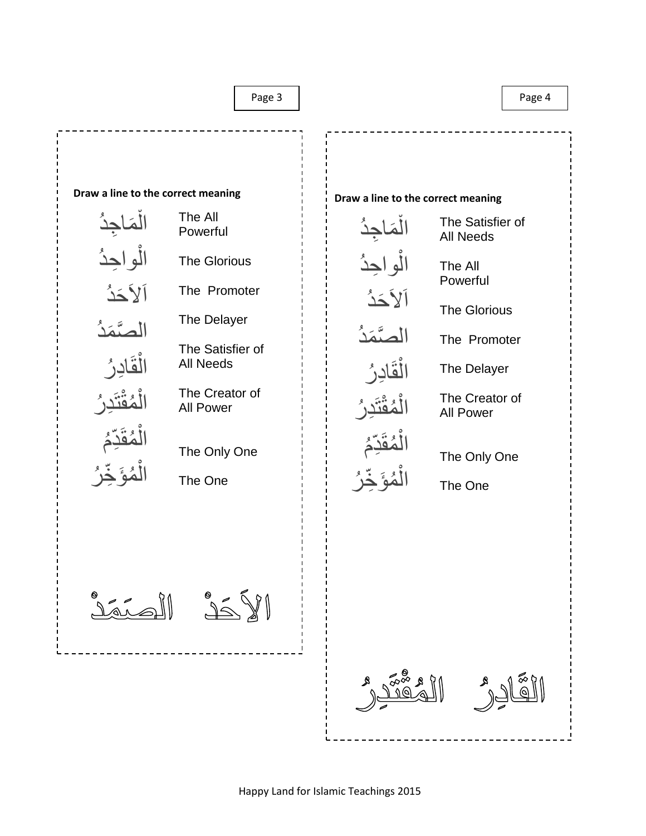